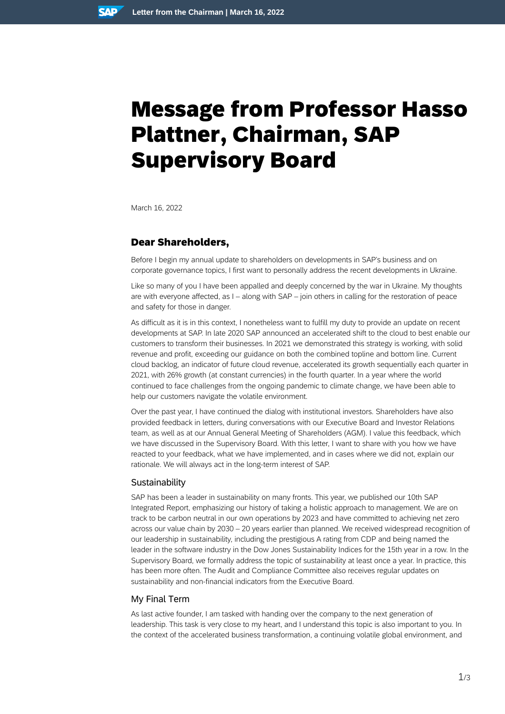# Message from Professor Hasso Plattner, Chairman, SAP Supervisory Board

March 16, 2022

# Dear Shareholders,

Before I begin my annual update to shareholders on developments in SAP's business and on corporate governance topics, I first want to personally address the recent developments in Ukraine.

Like so many of you I have been appalled and deeply concerned by the war in Ukraine. My thoughts are with everyone affected, as I – along with SAP – join others in calling for the restoration of peace and safety for those in danger.

As difficult as it is in this context, I nonetheless want to fulfill my duty to provide an update on recent developments at SAP. In late 2020 SAP announced an accelerated shift to the cloud to best enable our customers to transform their businesses. In 2021 we demonstrated this strategy is working, with solid revenue and profit, exceeding our guidance on both the combined topline and bottom line. Current cloud backlog, an indicator of future cloud revenue, accelerated its growth sequentially each quarter in 2021, with 26% growth (at constant currencies) in the fourth quarter. In a year where the world continued to face challenges from the ongoing pandemic to climate change, we have been able to help our customers navigate the volatile environment.

Over the past year, I have continued the dialog with institutional investors. Shareholders have also provided feedback in letters, during conversations with our Executive Board and Investor Relations team, as well as at our Annual General Meeting of Shareholders (AGM). I value this feedback, which we have discussed in the Supervisory Board. With this letter, I want to share with you how we have reacted to your feedback, what we have implemented, and in cases where we did not, explain our rationale. We will always act in the long-term interest of SAP.

## Sustainability

SAP has been a leader in sustainability on many fronts. This year, we published our 10th SAP Integrated Report, emphasizing our history of taking a holistic approach to management. We are on track to be carbon neutral in our own operations by 2023 and have committed to achieving net zero across our value chain by 2030 – 20 years earlier than planned. We received widespread recognition of our leadership in sustainability, including the prestigious A rating from CDP and being named the leader in the software industry in the Dow Jones Sustainability Indices for the 15th year in a row. In the Supervisory Board, we formally address the topic of sustainability at least once a year. In practice, this has been more often. The Audit and Compliance Committee also receives regular updates on sustainability and non-financial indicators from the Executive Board.

## My Final Term

As last active founder, I am tasked with handing over the company to the next generation of leadership. This task is very close to my heart, and I understand this topic is also important to you. In the context of the accelerated business transformation, a continuing volatile global environment, and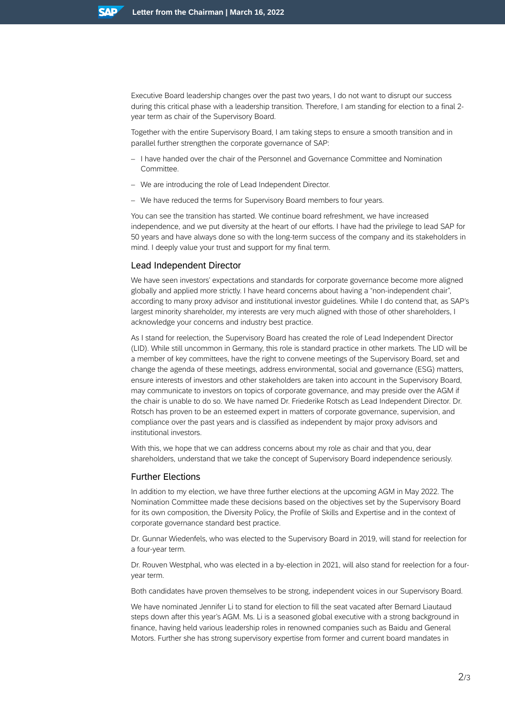Executive Board leadership changes over the past two years, I do not want to disrupt our success during this critical phase with a leadership transition. Therefore, I am standing for election to a final 2 year term as chair of the Supervisory Board.

Together with the entire Supervisory Board, I am taking steps to ensure a smooth transition and in parallel further strengthen the corporate governance of SAP:

- I have handed over the chair of the Personnel and Governance Committee and Nomination Committee.
- We are introducing the role of Lead Independent Director.
- We have reduced the terms for Supervisory Board members to four years.

You can see the transition has started. We continue board refreshment, we have increased independence, and we put diversity at the heart of our efforts. I have had the privilege to lead SAP for 50 years and have always done so with the long-term success of the company and its stakeholders in mind. I deeply value your trust and support for my final term.

#### Lead Independent Director

We have seen investors' expectations and standards for corporate governance become more aligned globally and applied more strictly. I have heard concerns about having a "non-independent chair", according to many proxy advisor and institutional investor guidelines. While I do contend that, as SAP's largest minority shareholder, my interests are very much aligned with those of other shareholders, I acknowledge your concerns and industry best practice.

As I stand for reelection, the Supervisory Board has created the role of Lead Independent Director (LID). While still uncommon in Germany, this role is standard practice in other markets. The LID will be a member of key committees, have the right to convene meetings of the Supervisory Board, set and change the agenda of these meetings, address environmental, social and governance (ESG) matters, ensure interests of investors and other stakeholders are taken into account in the Supervisory Board, may communicate to investors on topics of corporate governance, and may preside over the AGM if the chair is unable to do so. We have named Dr. Friederike Rotsch as Lead Independent Director. Dr. Rotsch has proven to be an esteemed expert in matters of corporate governance, supervision, and compliance over the past years and is classified as independent by major proxy advisors and institutional investors.

With this, we hope that we can address concerns about my role as chair and that you, dear shareholders, understand that we take the concept of Supervisory Board independence seriously.

#### Further Elections

In addition to my election, we have three further elections at the upcoming AGM in May 2022. The Nomination Committee made these decisions based on the objectives set by the Supervisory Board for its own composition, the Diversity Policy, the Profile of Skills and Expertise and in the context of corporate governance standard best practice.

Dr. Gunnar Wiedenfels, who was elected to the Supervisory Board in 2019, will stand for reelection for a four-year term.

Dr. Rouven Westphal, who was elected in a by-election in 2021, will also stand for reelection for a fouryear term.

Both candidates have proven themselves to be strong, independent voices in our Supervisory Board.

We have nominated Jennifer Li to stand for election to fill the seat vacated after Bernard Liautaud steps down after this year's AGM. Ms. Li is a seasoned global executive with a strong background in finance, having held various leadership roles in renowned companies such as Baidu and General Motors. Further she has strong supervisory expertise from former and current board mandates in